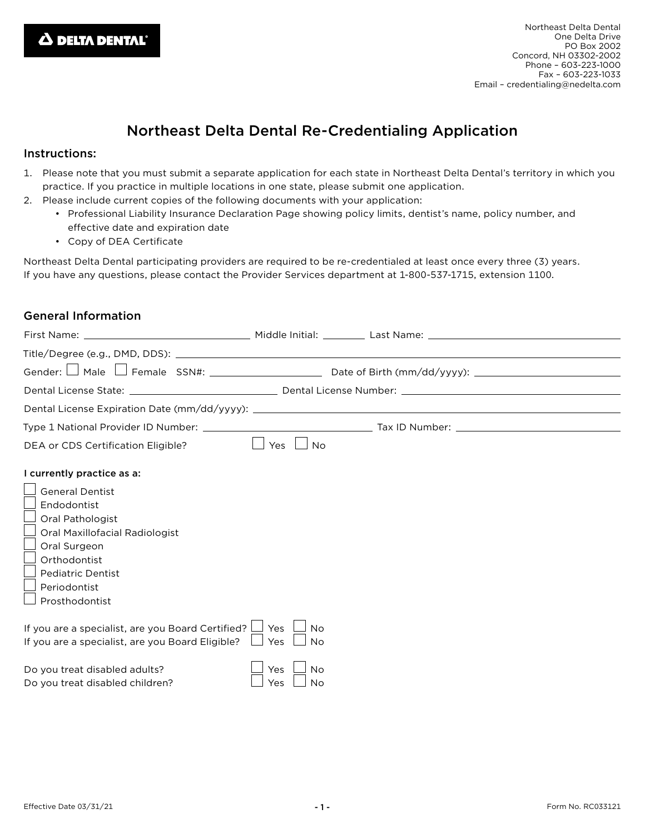# Northeast Delta Dental Re-Credentialing Application

### Instructions:

- 1. Please note that you must submit a separate application for each state in Northeast Delta Dental's territory in which you practice. If you practice in multiple locations in one state, please submit one application.
- 2. Please include current copies of the following documents with your application:
	- Professional Liability Insurance Declaration Page showing policy limits, dentist's name, policy number, and effective date and expiration date
	- Copy of DEA Certificate

Northeast Delta Dental participating providers are required to be re-credentialed at least once every three (3) years. If you have any questions, please contact the Provider Services department at 1-800-537-1715, extension 1100.

# General Information

| First Name:                                                                                                                                                                               |                                      |  |
|-------------------------------------------------------------------------------------------------------------------------------------------------------------------------------------------|--------------------------------------|--|
|                                                                                                                                                                                           |                                      |  |
| Gender: L                                                                                                                                                                                 |                                      |  |
|                                                                                                                                                                                           |                                      |  |
|                                                                                                                                                                                           |                                      |  |
|                                                                                                                                                                                           |                                      |  |
| DEA or CDS Certification Eligible?                                                                                                                                                        | Yes<br><b>No</b>                     |  |
| I currently practice as a:                                                                                                                                                                |                                      |  |
| <b>General Dentist</b><br>Endodontist<br>Oral Pathologist<br>Oral Maxillofacial Radiologist<br>Oral Surgeon<br>Orthodontist<br><b>Pediatric Dentist</b><br>Periodontist<br>Prosthodontist |                                      |  |
| If you are a specialist, are you Board Certified? $\Box$<br>If you are a specialist, are you Board Eligible?                                                                              | Yes<br><b>No</b><br>Yes<br><b>No</b> |  |
| Do you treat disabled adults?<br>Do you treat disabled children?                                                                                                                          | Yes<br><b>No</b><br><b>No</b><br>Yes |  |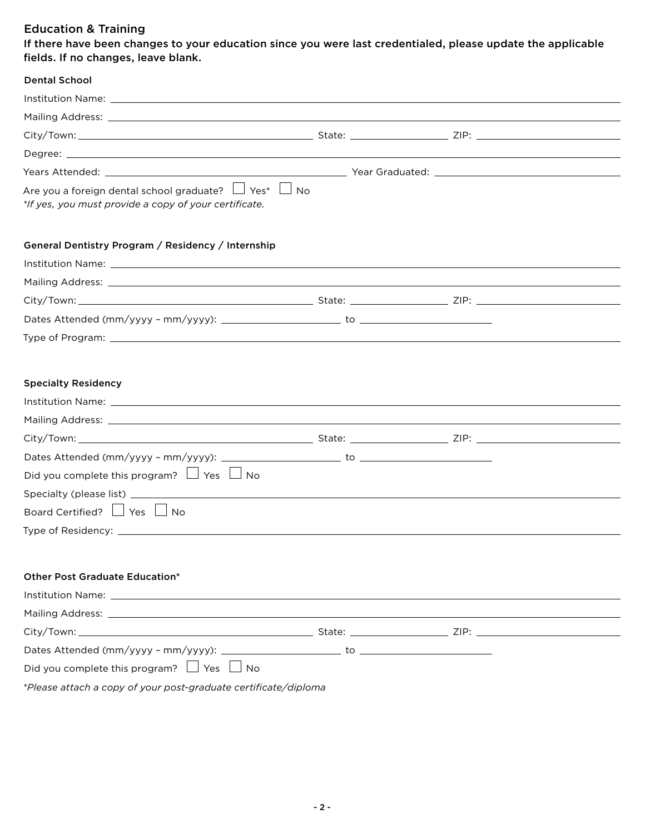## Education & Training

If there have been changes to your education since you were last credentialed, please update the applicable fields. If no changes, leave blank.

| <b>Dental School</b>                                                                                                       |  |
|----------------------------------------------------------------------------------------------------------------------------|--|
|                                                                                                                            |  |
|                                                                                                                            |  |
|                                                                                                                            |  |
|                                                                                                                            |  |
|                                                                                                                            |  |
| Are you a foreign dental school graduate? $\Box$ Yes* $\Box$ No<br>*If yes, you must provide a copy of your certificate.   |  |
| General Dentistry Program / Residency / Internship                                                                         |  |
|                                                                                                                            |  |
|                                                                                                                            |  |
|                                                                                                                            |  |
|                                                                                                                            |  |
|                                                                                                                            |  |
| <b>Specialty Residency</b><br>Did you complete this program? $\Box$ Yes $\Box$ No<br>Board Certified? $\Box$ Yes $\Box$ No |  |
| <b>Other Post Graduate Education*</b><br>Did you complete this program? $\Box$ Yes $\Box$ No                               |  |

*\*Please attach a copy of your post-graduate certifi cate/diploma*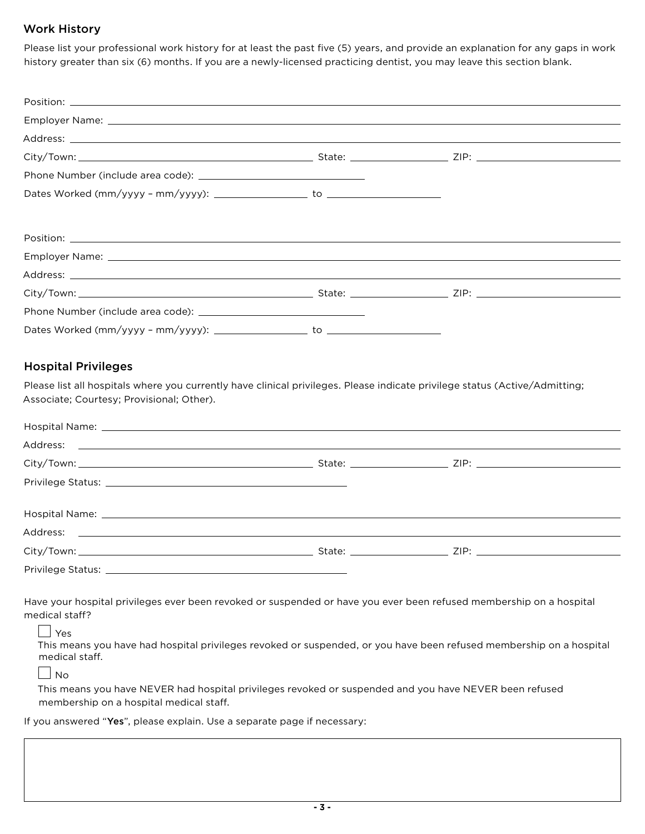## Work History

Please list your professional work history for at least the past five (5) years, and provide an explanation for any gaps in work history greater than six (6) months. If you are a newly-licensed practicing dentist, you may leave this section blank.

| Employer Name: Law and the contract of the contract of the contract of the contract of the contract of the contract of the contract of the contract of the contract of the contract of the contract of the contract of the con |  |  |
|--------------------------------------------------------------------------------------------------------------------------------------------------------------------------------------------------------------------------------|--|--|
|                                                                                                                                                                                                                                |  |  |
|                                                                                                                                                                                                                                |  |  |
|                                                                                                                                                                                                                                |  |  |
|                                                                                                                                                                                                                                |  |  |

## Hospital Privileges

Please list all hospitals where you currently have clinical privileges. Please indicate privilege status (Active/Admitting; Associate; Courtesy; Provisional; Other).

| Privilege Status: National Accounts and Accounts and Accounts and Accounts and Accounts and Accounts and Accounts and Accounts and Accounts and Accounts and Accounts and Accounts and Accounts and Accounts and Accounts and |  |  |
|-------------------------------------------------------------------------------------------------------------------------------------------------------------------------------------------------------------------------------|--|--|
|                                                                                                                                                                                                                               |  |  |
|                                                                                                                                                                                                                               |  |  |
|                                                                                                                                                                                                                               |  |  |
|                                                                                                                                                                                                                               |  |  |

Have your hospital privileges ever been revoked or suspended or have you ever been refused membership on a hospital medical staff?

#### Yes

This means you have had hospital privileges revoked or suspended, or you have been refused membership on a hospital medical staff.

 $\Box$  No

This means you have NEVER had hospital privileges revoked or suspended and you have NEVER been refused membership on a hospital medical staff.

If you answered "Yes", please explain. Use a separate page if necessary: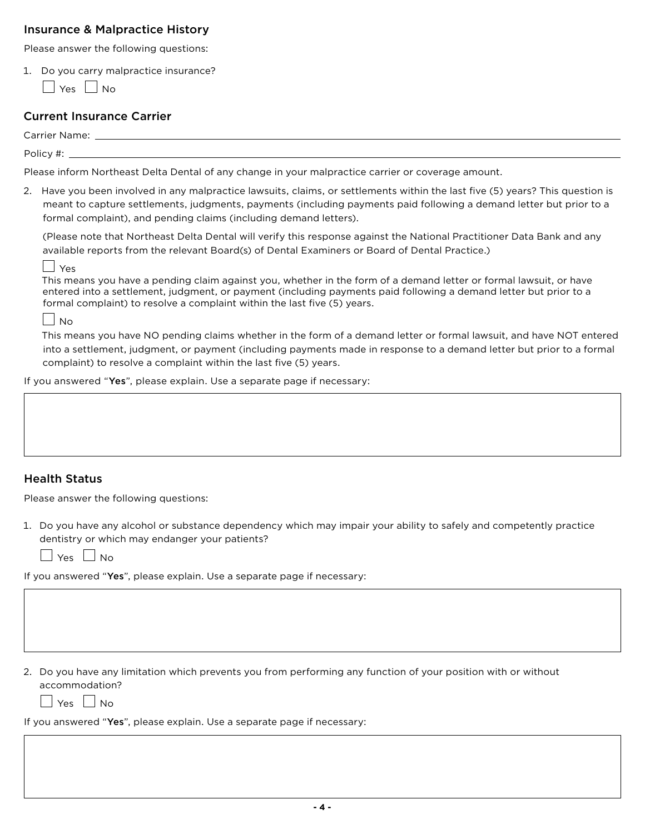## Insurance & Malpractice History

Please answer the following questions:

1. Do you carry malpractice insurance?

 $\Box$  Yes  $\Box$  No.

## Current Insurance Carrier

Carrier Name:

Policy #: \_

Please inform Northeast Delta Dental of any change in your malpractice carrier or coverage amount.

2. Have you been involved in any malpractice lawsuits, claims, or settlements within the last five (5) years? This question is meant to capture settlements, judgments, payments (including payments paid following a demand letter but prior to a formal complaint), and pending claims (including demand letters).

 (Please note that Northeast Delta Dental will verify this response against the National Practitioner Data Bank and any available reports from the relevant Board(s) of Dental Examiners or Board of Dental Practice.)

 $|$   $|$   $\gamma_{\text{PS}}$ 

This means you have a pending claim against you, whether in the form of a demand letter or formal lawsuit, or have entered into a settlement, judgment, or payment (including payments paid following a demand letter but prior to a formal complaint) to resolve a complaint within the last five (5) years.

 $\left| \ \right|_{\rm No}$ 

This means you have NO pending claims whether in the form of a demand letter or formal lawsuit, and have NOT entered into a settlement, judgment, or payment (including payments made in response to a demand letter but prior to a formal complaint) to resolve a complaint within the last five (5) years.

If you answered "Yes", please explain. Use a separate page if necessary:

## Health Status

Please answer the following questions:

1. Do you have any alcohol or substance dependency which may impair your ability to safely and competently practice dentistry or which may endanger your patients?

 $\Box$  Yes  $\Box$  No

If you answered "Yes", please explain. Use a separate page if necessary:

2. Do you have any limitation which prevents you from performing any function of your position with or without accommodation?

 $\vert$   $\vert$  Yes  $\vert$   $\vert$  No

If you answered "Yes", please explain. Use a separate page if necessary: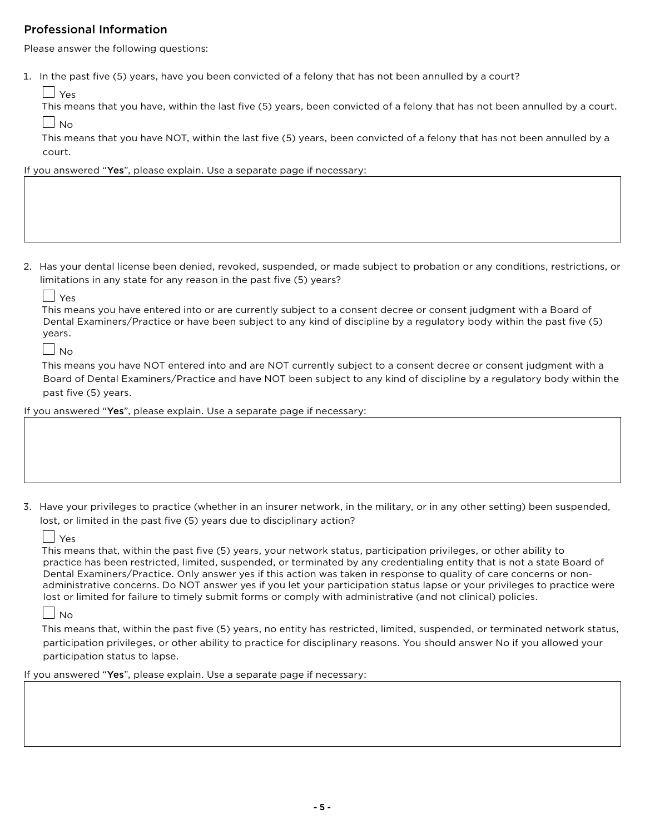## Professional Information

Please answer the following questions:

1. In the past five (5) years, have you been convicted of a felony that has not been annulled by a court?

Yes

This means that you have, within the last five (5) years, been convicted of a felony that has not been annulled by a court.  $\vert$   $\vert$  No

This means that you have NOT, within the last five (5) years, been convicted of a felony that has not been annulled by a court.

If you answered "Yes", please explain. Use a separate page if necessary:

2. Has your dental license been denied, revoked, suspended, or made subject to probation or any conditions, restrictions, or limitations in any state for any reason in the past five (5) years?

Yes

This means you have entered into or are currently subject to a consent decree or consent judgment with a Board of Dental Examiners/Practice or have been subject to any kind of discipline by a regulatory body within the past five (5) years.

 $\Box$ No

This means you have NOT entered into and are NOT currently subject to a consent decree or consent judgment with a Board of Dental Examiners/Practice and have NOT been subject to any kind of discipline by a regulatory body within the past five (5) years.

If you answered "Yes", please explain. Use a separate page if necessary:

3. Have your privileges to practice (whether in an insurer network, in the military, or in any other setting) been suspended, lost, or limited in the past five (5) years due to disciplinary action?

 $\left| \begin{array}{c} \end{array} \right|$   $\left| \begin{array}{c} \text{Yes} \end{array} \right|$ 

This means that, within the past five (5) years, your network status, participation privileges, or other ability to practice has been restricted, limited, suspended, or terminated by any credentialing entity that is not a state Board of Dental Examiners/Practice. Only answer yes if this action was taken in response to quality of care concerns or nonadministrative concerns. Do NOT answer yes if you let your participation status lapse or your privileges to practice were lost or limited for failure to timely submit forms or comply with administrative (and not clinical) policies.

 $\vert$   $\vert$  No

This means that, within the past five (5) years, no entity has restricted, limited, suspended, or terminated network status, participation privileges, or other ability to practice for disciplinary reasons. You should answer No if you allowed your participation status to lapse.

If you answered "Yes", please explain. Use a separate page if necessary: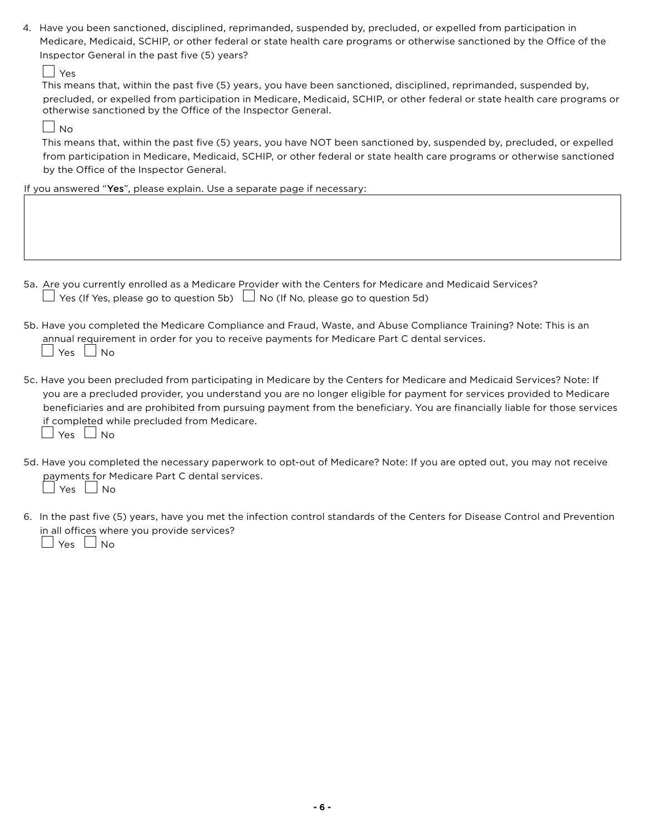4. Have you been sanctioned, disciplined, reprimanded, suspended by, precluded, or expelled from participation in Medicare, Medicaid, SCHIP, or other federal or state health care programs or otherwise sanctioned by the Office of the Inspector General in the past five (5) years?

Yes

This means that, within the past five (5) years, you have been sanctioned, disciplined, reprimanded, suspended by, precluded, or expelled from participation in Medicare, Medicaid, SCHIP, or other federal or state health care programs or otherwise sanctioned by the Office of the Inspector General.

 $\Box$  No

This means that, within the past five (5) years, you have NOT been sanctioned by, suspended by, precluded, or expelled from participation in Medicare, Medicaid, SCHIP, or other federal or state health care programs or otherwise sanctioned by the Office of the Inspector General.

If you answered "Yes", please explain. Use a separate page if necessary:

- 5a. Are you currently enrolled as a Medicare Provider with the Centers for Medicare and Medicaid Services?  $\Box$  Yes (If Yes, please go to question 5b)  $\Box$  No (If No, please go to question 5d)
- 5b. Have you completed the Medicare Compliance and Fraud, Waste, and Abuse Compliance Training? Note: This is an annual requirement in order for you to receive payments for Medicare Part C dental services.  $\Box$  Yes  $\Box$  No
- 5c. Have you been precluded from participating in Medicare by the Centers for Medicare and Medicaid Services? Note: If you are a precluded provider, you understand you are no longer eligible for payment for services provided to Medicare beneficiaries and are prohibited from pursuing payment from the beneficiary. You are financially liable for those services if completed while precluded from Medicare.  $\Box$  Yes  $\Box$  No
- 5d. Have you completed the necessary paperwork to opt-out of Medicare? Note: If you are opted out, you may not receive payments for Medicare Part C dental services.  $\vert$  Yes  $\vert\Box$  No
- 6. In the past five (5) years, have you met the infection control standards of the Centers for Disease Control and Prevention in all offices where you provide services?

 $\Box$  Yes  $\Box$  No